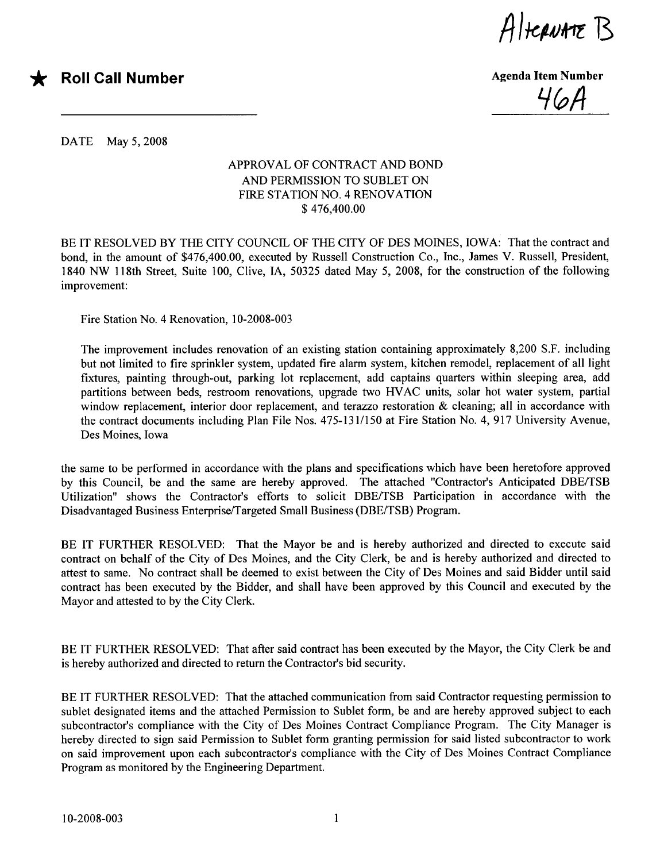$A$ Itcauat $\epsilon$  B



 $46A$ 

DATE May 5, 2008

## APPROVAL OF CONTRACT AND BOND AND PERMISSION TO SUBLET ON FIRE STATION NO. 4 RENOVATION \$ 476,400.00

BE IT RESOLVED BY THE CITY COUNCIL OF THE CITY OF DES MOINES, IOWA: That the contract and bond, in the amount of \$476,400.00, executed by Russell Construction Co., Inc., James V. Russell, President, 1840 NW 118th Street, Suite 100, Clive, lA, 50325 dated May 5, 2008, for the construction of the following improvement:

Fire Station No.4 Renovation, 10-2008-003

The improvement includes renovation of an existing station containing approximately 8,200 S.F. including but not limited to fire sprinkler system, updated fire alarm system, kitchen remodel, replacement of all light fixtures, painting through-out, parking lot replacement, add captains quarters within sleeping area, add partitions between beds, restroom renovations, upgrade two HVAC units, solar hot water system, partial window replacement, interior door replacement, and terazzo restoration  $\&$  cleaning; all in accordance with the contract documents including Plan File Nos. 475-131/150 at Fire Station No.4, 917 University Avenue, Des Moines, Iowa

the same to be performed in accordance with the plans and specifications which have been heretofore approved by this Council, be and the same are hereby approved. The attached "Contractor's Anticipated DBE/TSB Utilzation" shows the Contractor's efforts to solicit DBE/TSB Participation in accordance with the Disadvantaged Business Enterprise/Targeted Small Business (DBE/TSB) Program.

BE IT FURTHER RESOLVED: That the Mayor be and is hereby authorized and directed to execute said contract on behalf of the City of Des Moines, and the City Clerk, be and is hereby authorized and directed to attest to same. No contract shall be deemed to exist between the City of Des Moines and said Bidder until said contract has been executed by the Bidder, and shall have been approved by this Council and executed by the Mayor and attested to by the City Clerk.

BE IT FURTHER RESOLVED: That after said contract has been executed by the Mayor, the City Clerk be and is hereby authorized and directed to return the Contractor's bid security.

BE IT FURTHER RESOLVED: That the attached communication from said Contractor requesting permission to sublet designated items and the attached Permission to Sublet form, be and are hereby approved subject to each subcontractor's compliance with the City of Des Moines Contract Compliance Program. The City Manager is hereby directed to sign said Permission to Sublet form granting permission for said listed subcontractor to work on said improvement upon each subcontractor's compliance with the City of Des Moines Contract Compliance Program as monitored by the Engineering Department.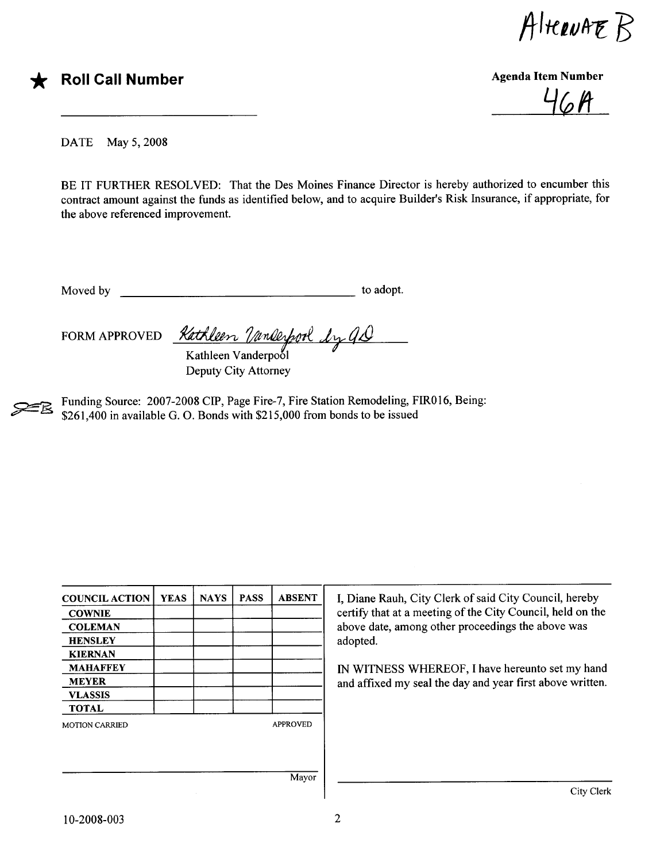$A$ HERNAE $B$ 

\* Roll Call Number Agenda Item Number Agenda Item Number

 $6A$ 

DATE May 5, 2008

BE IT FURTHER RESOLVED: That the Des Moines Finance Director is hereby authorized to encumber this contract amount against the funds as identified below, and to acquire Builder's Risk Insurance, if appropriate, for the above referenced improvement.

Moved by to adopt.

FORM APPROVED *Kathleen Vanleyforl Ly GD* Kathleen Vanderpool

Deputy City Attorney

Funding Source: 2007-2008 CIP, Page Fire-7, Fire Station Remodeling, FIR016, Being: \$261,400 in available G. O. Bonds with \$215,000 from bonds to be issued

| <b>COUNCIL ACTION</b> | <b>YEAS</b> | <b>NAYS</b> | <b>PASS</b> | <b>ABSENT</b>   | I, Diane Rauh, City Clerk of said City Council, hereby      |  |  |  |
|-----------------------|-------------|-------------|-------------|-----------------|-------------------------------------------------------------|--|--|--|
| <b>COWNIE</b>         |             |             |             |                 | certify that at a meeting of the City Council, held on the  |  |  |  |
| <b>COLEMAN</b>        |             |             |             |                 | above date, among other proceedings the above was           |  |  |  |
| <b>HENSLEY</b>        |             |             |             |                 | adopted.<br>IN WITNESS WHEREOF, I have hereunto set my hand |  |  |  |
| <b>KIERNAN</b>        |             |             |             |                 |                                                             |  |  |  |
| <b>MAHAFFEY</b>       |             |             |             |                 |                                                             |  |  |  |
| <b>MEYER</b>          |             |             |             |                 | and affixed my seal the day and year first above written.   |  |  |  |
| <b>VLASSIS</b>        |             |             |             |                 |                                                             |  |  |  |
| <b>TOTAL</b>          |             |             |             |                 |                                                             |  |  |  |
| <b>MOTION CARRIED</b> |             |             |             | <b>APPROVED</b> |                                                             |  |  |  |
|                       |             |             |             |                 |                                                             |  |  |  |
|                       |             |             |             |                 |                                                             |  |  |  |
|                       |             |             |             | Mayor           |                                                             |  |  |  |
|                       |             |             |             |                 | City Clerk                                                  |  |  |  |